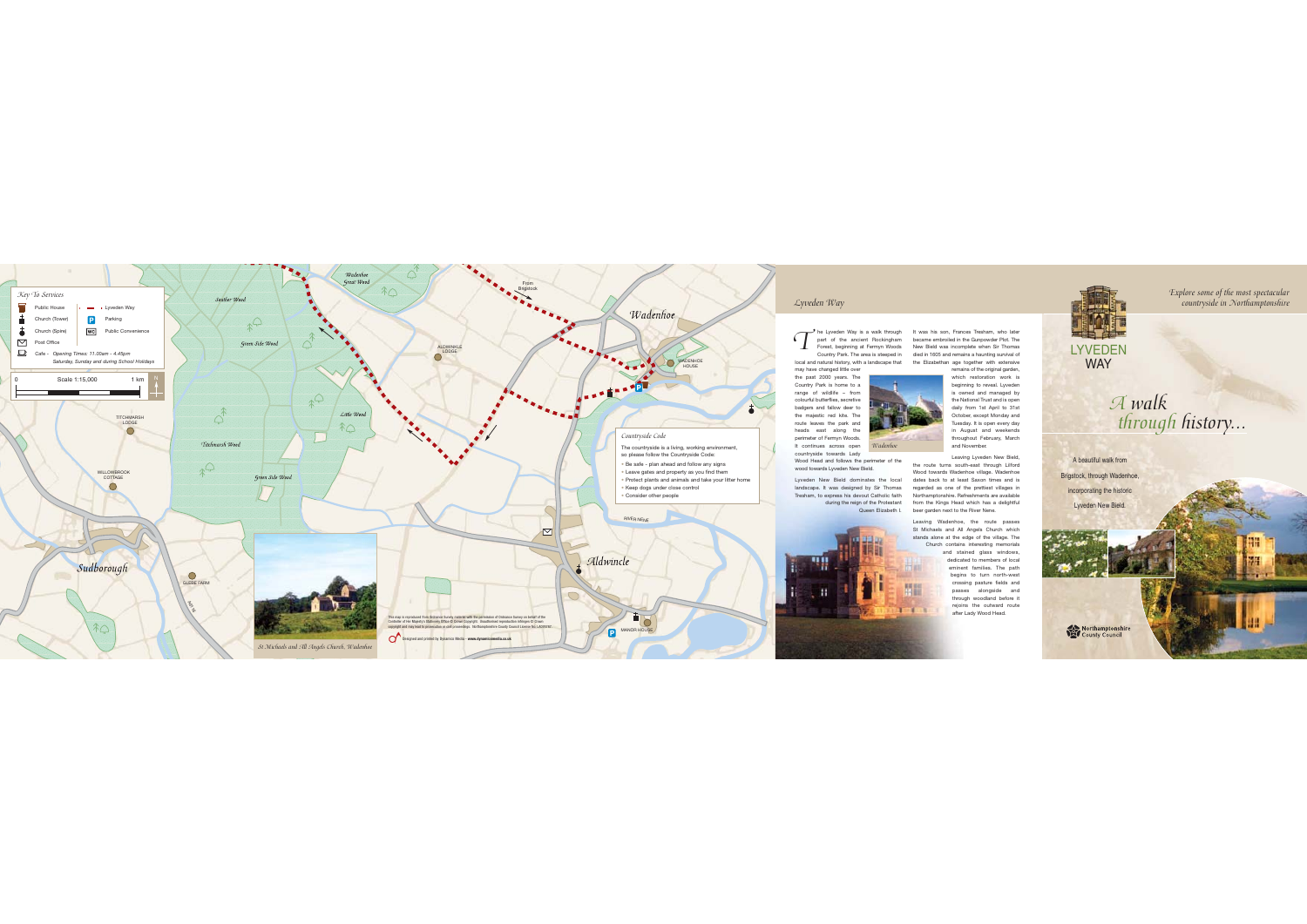